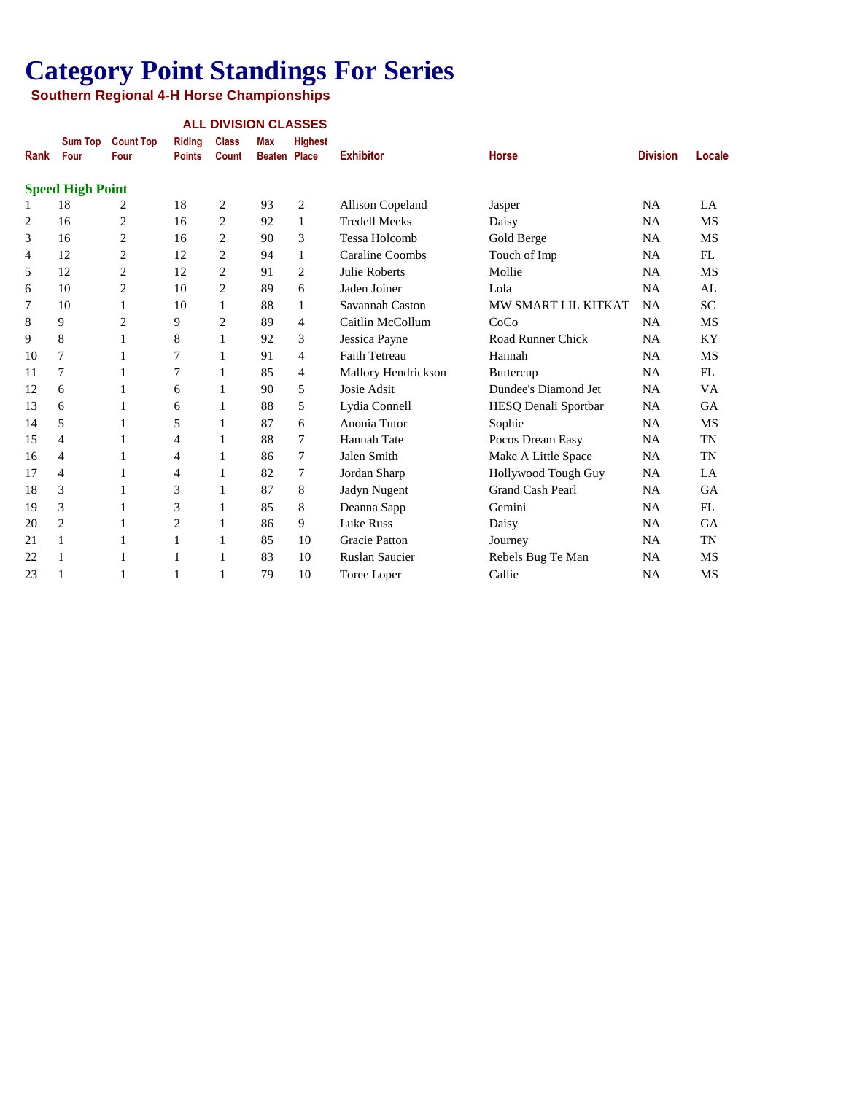| <b>ALL DIVISION CLASSES</b> |  |
|-----------------------------|--|
|                             |  |

| Rank           | <b>Sum Top</b><br>Four  | <b>Count Top</b><br>Four | <b>Ridina</b><br><b>Points</b> | <b>Class</b><br><b>Count</b> | <b>Max</b><br><b>Beaten</b> | <b>Highest</b><br>Place | <b>Exhibitor</b>        | <b>Horse</b>               | <b>Division</b> | Locale    |
|----------------|-------------------------|--------------------------|--------------------------------|------------------------------|-----------------------------|-------------------------|-------------------------|----------------------------|-----------------|-----------|
|                | <b>Speed High Point</b> |                          |                                |                              |                             |                         |                         |                            |                 |           |
| 1              | 18                      | 2                        | 18                             | $\overline{c}$               | 93                          | 2                       | <b>Allison Copeland</b> | Jasper                     | <b>NA</b>       | LA        |
| $\overline{2}$ | 16                      | 2                        | 16                             | $\overline{2}$               | 92                          | 1                       | <b>Tredell Meeks</b>    | Daisy                      | NA              | <b>MS</b> |
| 3              | 16                      | 2                        | 16                             | $\overline{c}$               | 90                          | 3                       | <b>Tessa Holcomb</b>    | Gold Berge                 | NA              | MS        |
| 4              | 12                      | 2                        | 12                             | $\overline{c}$               | 94                          | 1                       | Caraline Coombs         | Touch of Imp               | <b>NA</b>       | FL        |
| 5              | 12                      | 2                        | 12                             | $\overline{c}$               | 91                          | 2                       | Julie Roberts           | Mollie                     | NA              | MS        |
| 6              | 10                      | $\overline{c}$           | 10                             | $\overline{2}$               | 89                          | 6                       | Jaden Joiner            | Lola                       | <b>NA</b>       | AL        |
| 7              | 10                      | 1                        | 10                             | 1                            | 88                          | 1                       | Savannah Caston         | <b>MW SMART LIL KITKAT</b> | <b>NA</b>       | <b>SC</b> |
| 8              | 9                       | 2                        | 9                              | $\overline{2}$               | 89                          | 4                       | Caitlin McCollum        | CoCo                       | NA              | MS        |
| 9              | 8                       | 1                        | 8                              | 1                            | 92                          | 3                       | Jessica Payne           | Road Runner Chick          | NA              | KY        |
| 10             | 7                       | 1                        | 7                              | 1                            | 91                          | 4                       | <b>Faith Tetreau</b>    | Hannah                     | NA              | <b>MS</b> |
| 11             | 7                       | 1                        | 7                              | 1                            | 85                          | 4                       | Mallory Hendrickson     | <b>Buttercup</b>           | <b>NA</b>       | FL        |
| 12             | 6                       | 1                        | 6                              | 1                            | 90                          | 5                       | Josie Adsit             | Dundee's Diamond Jet       | NA              | VA        |
| 13             | 6                       | 1                        | 6                              | 1                            | 88                          | 5                       | Lydia Connell           | HESQ Denali Sportbar       | <b>NA</b>       | <b>GA</b> |
| 14             | 5                       | 1                        | 5                              | 1                            | 87                          | 6                       | Anonia Tutor            | Sophie                     | <b>NA</b>       | <b>MS</b> |
| 15             | 4                       | 1                        | 4                              | 1                            | 88                          | 7                       | Hannah Tate             | Pocos Dream Easy           | NA              | <b>TN</b> |
| 16             | $\overline{4}$          | 1                        | 4                              | 1                            | 86                          | 7                       | Jalen Smith             | Make A Little Space        | <b>NA</b>       | <b>TN</b> |
| 17             | 4                       | 1                        | 4                              | 1                            | 82                          | 7                       | Jordan Sharp            | Hollywood Tough Guy        | <b>NA</b>       | LA        |
| 18             | 3                       | 1                        | 3                              | 1                            | 87                          | 8                       | Jadyn Nugent            | Grand Cash Pearl           | NA              | <b>GA</b> |
| 19             | 3                       | 1                        | 3                              | 1                            | 85                          | 8                       | Deanna Sapp             | Gemini                     | NA              | FL        |
| 20             | $\overline{c}$          | 1                        | 2                              | 1                            | 86                          | 9                       | <b>Luke Russ</b>        | Daisy                      | <b>NA</b>       | GA        |
| 21             | 1                       | 1                        | 1                              | 1                            | 85                          | 10                      | <b>Gracie Patton</b>    | Journey                    | NA              | <b>TN</b> |
| 22             | 1                       | 1                        | 1                              | 1                            | 83                          | 10                      | <b>Ruslan Saucier</b>   | Rebels Bug Te Man          | NA              | MS        |
| 23             | 1                       |                          |                                | 1                            | 79                          | 10                      | <b>Toree Loper</b>      | Callie                     | NA              | <b>MS</b> |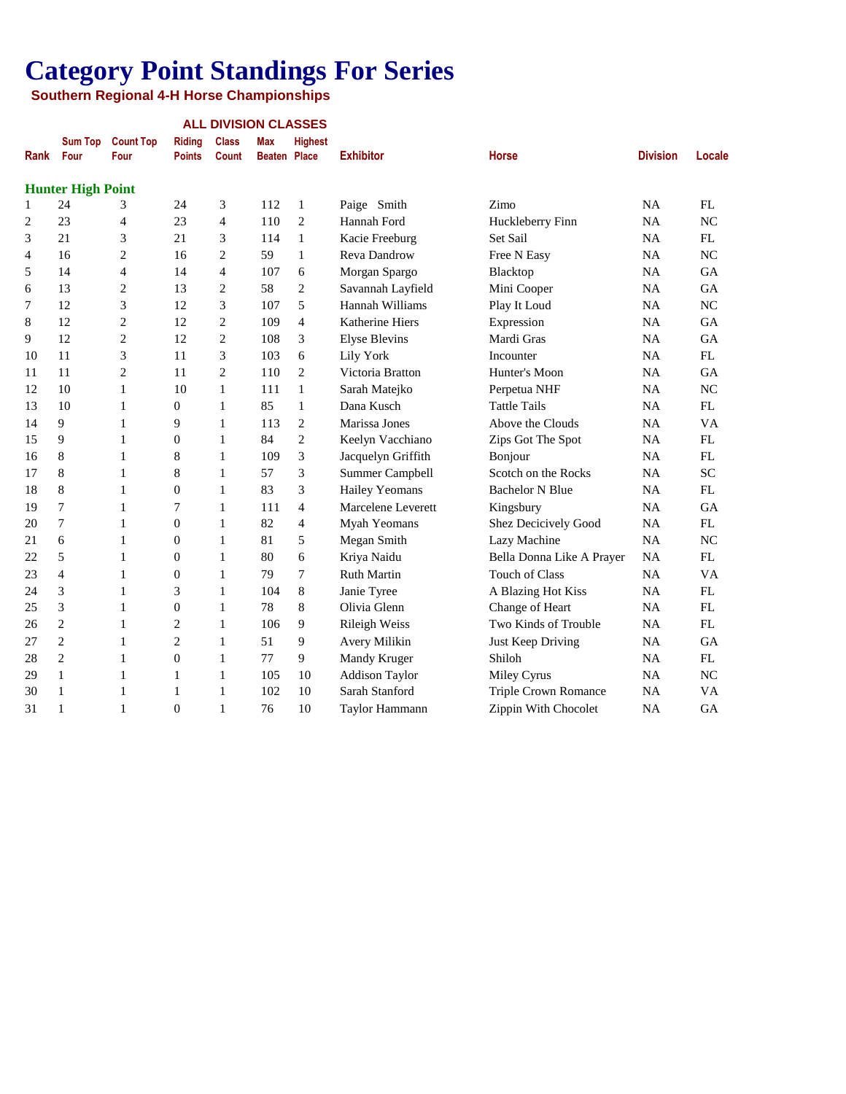|                |                          |                          |                                |                              | <b>ALL DIVISION CLASSES</b>       |                |                       |                           |                 |           |
|----------------|--------------------------|--------------------------|--------------------------------|------------------------------|-----------------------------------|----------------|-----------------------|---------------------------|-----------------|-----------|
| Rank           | <b>Sum Top</b><br>Four   | <b>Count Top</b><br>Four | <b>Riding</b><br><b>Points</b> | <b>Class</b><br><b>Count</b> | <b>Max</b><br><b>Beaten Place</b> | <b>Highest</b> | <b>Exhibitor</b>      | <b>Horse</b>              | <b>Division</b> | Locale    |
|                | <b>Hunter High Point</b> |                          |                                |                              |                                   |                |                       |                           |                 |           |
| $\mathbf{1}$   | 24                       | 3                        | 24                             | 3                            | 112                               | 1              | Paige Smith           | Zimo                      | NA              | FL        |
| 2              | 23                       | 4                        | 23                             | $\overline{4}$               | 110                               | 2              | Hannah Ford           | Huckleberry Finn          | <b>NA</b>       | <b>NC</b> |
| 3              | 21                       | 3                        | 21                             | 3                            | 114                               | $\mathbf{1}$   | Kacie Freeburg        | Set Sail                  | NA              | FL        |
| $\overline{4}$ | 16                       | 2                        | 16                             | $\overline{c}$               | 59                                | 1              | Reva Dandrow          | Free N Easy               | NA              | NC        |
| 5              | 14                       | 4                        | 14                             | $\overline{4}$               | 107                               | 6              | Morgan Spargo         | Blacktop                  | <b>NA</b>       | GA        |
| 6              | 13                       | $\overline{2}$           | 13                             | $\overline{2}$               | 58                                | 2              | Savannah Layfield     | Mini Cooper               | <b>NA</b>       | <b>GA</b> |
| 7              | 12                       | 3                        | 12                             | 3                            | 107                               | 5              | Hannah Williams       | Play It Loud              | <b>NA</b>       | NC        |
| 8              | 12                       | $\overline{c}$           | 12                             | $\overline{c}$               | 109                               | $\overline{4}$ | Katherine Hiers       | Expression                | <b>NA</b>       | <b>GA</b> |
| 9              | 12                       | $\overline{c}$           | 12                             | $\overline{2}$               | 108                               | 3              | <b>Elyse Blevins</b>  | Mardi Gras                | NA              | GA        |
| 10             | 11                       | 3                        | 11                             | 3                            | 103                               | 6              | Lily York             | Incounter                 | <b>NA</b>       | FL        |
| 11             | 11                       | $\overline{c}$           | 11                             | $\overline{c}$               | 110                               | $\overline{2}$ | Victoria Bratton      | Hunter's Moon             | NA              | GA        |
| 12             | 10                       | 1                        | 10                             | $\mathbf{1}$                 | 111                               | $\mathbf{1}$   | Sarah Matejko         | Perpetua NHF              | NA              | NC        |
| 13             | 10                       | 1                        | $\mathbf{0}$                   | $\mathbf{1}$                 | 85                                | 1              | Dana Kusch            | <b>Tattle Tails</b>       | NA              | FL        |
| 14             | 9                        | 1                        | 9                              | $\mathbf{1}$                 | 113                               | $\mathbf{2}$   | Marissa Jones         | Above the Clouds          | NA              | VA        |
| 15             | 9                        | 1                        | $\overline{0}$                 | 1                            | 84                                | $\overline{2}$ | Keelyn Vacchiano      | Zips Got The Spot         | <b>NA</b>       | FL        |
| 16             | 8                        | 1                        | 8                              | 1                            | 109                               | 3              | Jacquelyn Griffith    | Bonjour                   | <b>NA</b>       | FL        |
| 17             | 8                        | 1                        | 8                              | $\mathbf{1}$                 | 57                                | 3              | Summer Campbell       | Scotch on the Rocks       | NA              | <b>SC</b> |
| 18             | 8                        | 1                        | $\overline{0}$                 | 1                            | 83                                | 3              | Hailey Yeomans        | <b>Bachelor N Blue</b>    | <b>NA</b>       | FL        |
| 19             | $\overline{7}$           | 1                        | 7                              | 1                            | 111                               | $\overline{4}$ | Marcelene Leverett    | Kingsbury                 | NA              | GA        |
| 20             | $\boldsymbol{7}$         | 1                        | $\boldsymbol{0}$               | $\mathbf{1}$                 | 82                                | $\overline{4}$ | Myah Yeomans          | Shez Decicively Good      | NA              | FL        |
| 21             | 6                        | 1                        | $\boldsymbol{0}$               | $\mathbf{1}$                 | 81                                | 5              | Megan Smith           | Lazy Machine              | NA              | NC        |
| 22             | 5                        | 1                        | $\boldsymbol{0}$               | 1                            | 80                                | 6              | Kriya Naidu           | Bella Donna Like A Prayer | <b>NA</b>       | FL        |
| 23             | $\overline{4}$           | 1                        | $\overline{0}$                 | 1                            | 79                                | 7              | <b>Ruth Martin</b>    | <b>Touch of Class</b>     | NA              | <b>VA</b> |
| 24             | 3                        | 1                        | 3                              | 1                            | 104                               | 8              | Janie Tyree           | A Blazing Hot Kiss        | <b>NA</b>       | FL        |
| 25             | 3                        | 1                        | $\overline{0}$                 | 1                            | 78                                | 8              | Olivia Glenn          | Change of Heart           | <b>NA</b>       | FL        |
| 26             | $\overline{c}$           | 1                        | $\overline{c}$                 | 1                            | 106                               | 9              | <b>Rileigh Weiss</b>  | Two Kinds of Trouble      | NA              | FL        |
| 27             | $\overline{c}$           | 1                        | $\overline{c}$                 | 1                            | 51                                | 9              | Avery Milikin         | Just Keep Driving         | <b>NA</b>       | GA        |
| 28             | $\overline{c}$           | 1                        | $\boldsymbol{0}$               | $\mathbf{1}$                 | 77                                | 9              | Mandy Kruger          | Shiloh                    | <b>NA</b>       | FL        |
| 29             | $\mathbf{1}$             | 1                        | 1                              | $\mathbf{1}$                 | 105                               | 10             | <b>Addison Taylor</b> | Miley Cyrus               | <b>NA</b>       | NC        |
| 30             | $\mathbf{1}$             | 1                        | 1                              | 1                            | 102                               | 10             | Sarah Stanford        | Triple Crown Romance      | <b>NA</b>       | VA        |
| 31             | 1                        | 1                        | $\theta$                       | 1                            | 76                                | 10             | Taylor Hammann        | Zippin With Chocolet      | NA              | GA        |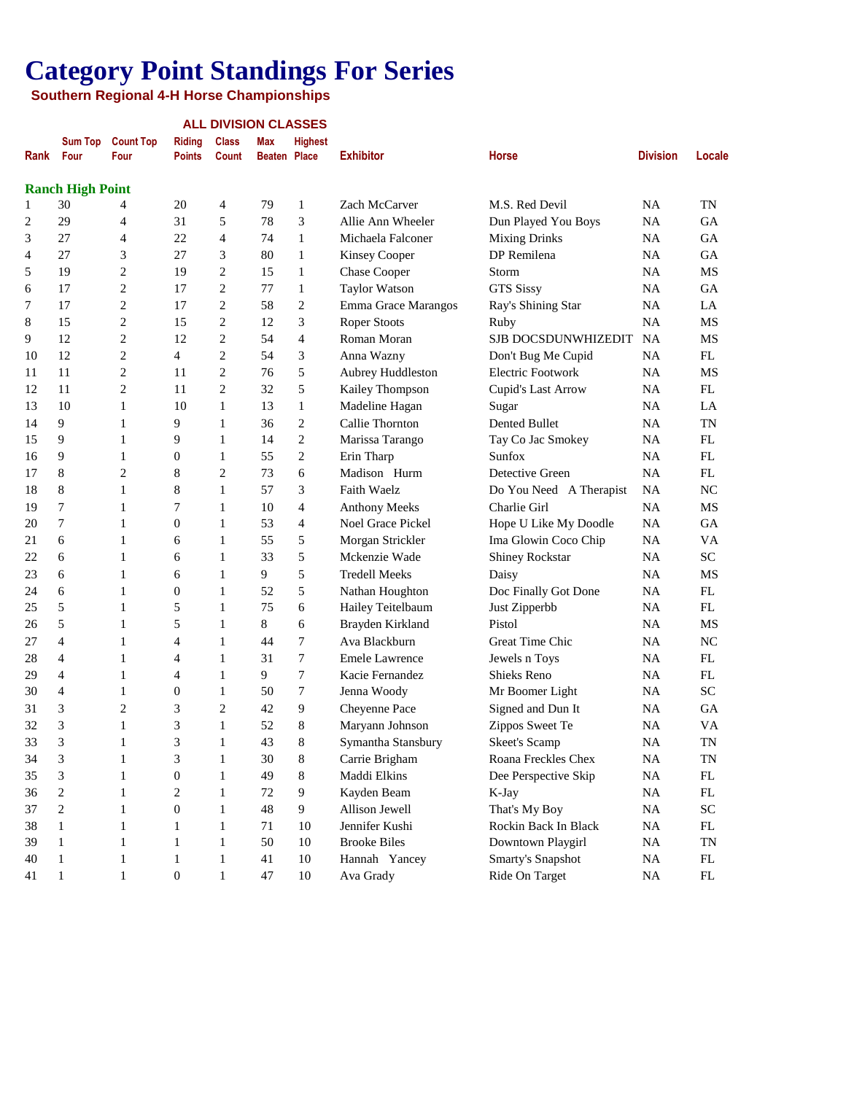| <b>Count Top</b><br><b>Class</b><br><b>Sum Top</b><br><b>Riding</b><br>Max<br><b>Highest</b><br><b>Exhibitor</b><br>Rank<br>Four<br><b>Division</b><br>Locale<br>Four<br><b>Points</b><br><b>Count</b><br>Beaten Place<br><b>Horse</b><br><b>Ranch High Point</b><br>30<br>20<br>4<br>79<br>$\mathbf{1}$<br>Zach McCarver<br>M.S. Red Devil<br><b>NA</b><br>TN<br>4<br>1<br>5<br>29<br>78<br>3<br>2<br>31<br>Allie Ann Wheeler<br>Dun Played You Boys<br><b>NA</b><br><b>GA</b><br>4<br>$\overline{4}$<br>3<br>27<br>22<br>74<br>1<br>Michaela Falconer<br><b>Mixing Drinks</b><br><b>NA</b><br>GA<br>4<br>3<br>DP Remilena<br>27<br>3<br>27<br>80<br>$\mathbf{1}$<br><b>Kinsey Cooper</b><br><b>NA</b><br>GA<br>4<br>$\mathbf{2}$<br>$\overline{\mathbf{c}}$<br>19<br>5<br>19<br>15<br>1<br><b>Chase Cooper</b><br>Storm<br><b>NA</b><br>MS<br>$\sqrt{2}$<br>17<br>$\overline{\mathbf{c}}$<br>77<br><b>GTS Sissy</b><br>17<br>$\mathbf{1}$<br><b>Taylor Watson</b><br>NA<br>GA<br>6<br>$\sqrt{2}$<br>$\overline{c}$<br>17<br>$\overline{\mathbf{c}}$<br>17<br>58<br>7<br>Emma Grace Marangos<br>Ray's Shining Star<br>NA<br>LA<br>3<br>$\mathbf{2}$<br>$\overline{\mathbf{c}}$<br>12<br>8<br>15<br>15<br><b>Roper Stoots</b><br>NA<br>MS<br>Ruby<br>$\overline{c}$<br>$\overline{4}$<br>12<br>$\overline{2}$<br>12<br>54<br>NA<br>MS<br>9<br>Roman Moran<br>SJB DOCSDUNWHIZEDIT<br>$\overline{c}$<br>3<br>12<br>$\overline{2}$<br>54<br>4<br>Anna Wazny<br>Don't Bug Me Cupid<br><b>NA</b><br>FL<br>10<br>5<br>$\overline{2}$<br>11<br>$\overline{2}$<br>76<br>Aubrey Huddleston<br><b>Electric Footwork</b><br><b>NA</b><br>MS<br>11<br>11<br>$\mathbf{2}$<br>$\overline{2}$<br>5<br>11<br>11<br>32<br><b>NA</b><br>FL<br>12<br>Kailey Thompson<br>Cupid's Last Arrow<br>10<br>1<br>10<br>$\mathbf{1}$<br>13<br>$\mathbf{1}$<br><b>NA</b><br>13<br>Madeline Hagan<br>Sugar<br>LA<br>9<br>$\overline{c}$<br><b>TN</b><br>$\mathbf{1}$<br>9<br>$\mathbf{1}$<br>36<br>Callie Thornton<br>Dented Bullet<br><b>NA</b><br>14<br>2<br>9<br>$\mathbf{1}$<br>9<br>$\mathbf{1}$<br>14<br>Marissa Tarango<br>NA<br>FL<br>15<br>Tay Co Jac Smokey<br>2<br>9<br>$\mathbf{1}$<br>0<br>$\mathbf{1}$<br>55<br>Erin Tharp<br>Sunfox<br><b>NA</b><br>FL<br>16<br>8<br>$\overline{2}$<br>$\overline{c}$<br>8<br>73<br>6<br>Madison Hurm<br>Detective Green<br><b>NA</b><br>FL<br>17<br>8<br>$\mathbf{1}$<br>18<br>$\mathbf{1}$<br>8<br>57<br>3<br>Faith Waelz<br>NA<br>NC<br>Do You Need A Therapist<br>7<br>$\mathbf{1}$<br>4<br>$\mathbf{1}$<br>7<br>10<br><b>Anthony Meeks</b><br>Charlie Girl<br><b>NA</b><br>MS<br>19<br>7<br>$\mathbf{1}$<br>1<br>0<br>53<br>4<br>Noel Grace Pickel<br>Hope U Like My Doodle<br><b>NA</b><br><b>GA</b><br>20<br>6<br>1<br>55<br>5<br>Morgan Strickler<br>Ima Glowin Coco Chip<br><b>NA</b><br>VA<br>21<br>1<br>6<br>5<br>SC<br>6<br>1<br>33<br>Mckenzie Wade<br>Shiney Rockstar<br><b>NA</b><br>22<br>1<br>6<br>9<br>5<br>23<br>1<br><b>Tredell Meeks</b><br>Daisy<br><b>NA</b><br>MS<br>6<br>1<br>6<br>5<br>6<br>$\boldsymbol{0}$<br>1<br>52<br>Nathan Houghton<br>Doc Finally Got Done<br>NA<br>FL<br>24<br>1<br>5<br>5<br>1<br>75<br>6<br>Hailey Teitelbaum<br>Just Zipperbb<br>NA<br>FL<br>25<br>1<br>5<br>8<br>Pistol<br>5<br>$\mathbf{1}$<br>6<br>Brayden Kirkland<br>NA<br>MS<br>26<br>1<br>7<br>NC<br>27<br>4<br>4<br>$\mathbf{1}$<br>44<br>Ava Blackburn<br>Great Time Chic<br>NA<br>1<br>$\mathbf{1}$<br>7<br>FL<br>28<br>4<br>31<br><b>Emele Lawrence</b><br>Jewels n Toys<br><b>NA</b><br>1<br>4<br>$\mathbf{1}$<br>9<br>7<br>FL<br>29<br>4<br>4<br>Kacie Fernandez<br><b>Shieks Reno</b><br><b>NA</b><br>1<br>$\mathbf{1}$<br>7<br>SC<br>30<br>4<br>$\boldsymbol{0}$<br>50<br>Jenna Woody<br>NA<br>1<br>Mr Boomer Light<br>$\overline{2}$<br>3<br>$\overline{2}$<br>3<br>9<br>42<br>Cheyenne Pace<br>Signed and Dun It<br>GA<br>31<br>NA<br>3<br>3<br>8<br>$\mathbf{1}$<br>$\mathbf{1}$<br>52<br>32<br>VA<br>Maryann Johnson<br>Zippos Sweet Te<br>NA<br>3<br>$\,1$<br>3<br>$\mathbf{1}$<br>43<br>$\,8\,$<br>Symantha Stansbury<br><b>Skeet's Scamp</b><br>33<br>NA<br>TN<br>3<br>$\mathbf 1$<br>3<br>$\mathbf 1$<br>$\,8\,$<br>34<br>30<br>Carrie Brigham<br>Roana Freckles Chex<br>NA<br>TN<br>3<br>$\mathbf 1$<br>$\mathbf{1}$<br>$\,8\,$<br>0<br>49<br>Maddi Elkins<br>Dee Perspective Skip<br>35<br>NA<br>$\mathop{\rm FL}\nolimits$<br>$\overline{c}$<br>$\mathbf 1$<br>$\mathbf{1}$<br>2<br>$72\,$<br>$\overline{9}$<br>Kayden Beam<br>K-Jay<br>36<br>NA<br>FL<br>$\overline{c}$<br>$\mathbf 1$<br>$\mathbf 1$<br>9<br>$\boldsymbol{0}$<br>$\sqrt{48}$<br>Allison Jewell<br>That's My Boy<br>${\rm SC}$<br>37<br>NA<br>$\mathbf 1$<br>$\mathbf 1$<br>$\,1$<br>$\mathbf{1}$<br>71<br>$10\,$<br>Jennifer Kushi<br>Rockin Back In Black<br>38<br>NA<br>$\mathop{\rm FL}\nolimits$<br>$\,1$<br>$\mathbf 1$<br>$\mathbf{1}$<br>$\mathbf{1}$<br>50<br>$10\,$<br><b>Brooke Biles</b><br>39<br>Downtown Playgirl<br>$\rm NA$<br>TN<br>$\,1$<br>$\mathbf{1}$<br>$\mathbf{1}$<br>$\,1$<br>41<br>$10\,$<br>Hannah Yancey<br>Smarty's Snapshot<br>40<br>$\rm NA$<br>$\mathop{\rm FL}\nolimits$ |    |              |              |                  |       | <b>ALL DIVISION CLASSES</b> |        |           |                |          |               |
|-----------------------------------------------------------------------------------------------------------------------------------------------------------------------------------------------------------------------------------------------------------------------------------------------------------------------------------------------------------------------------------------------------------------------------------------------------------------------------------------------------------------------------------------------------------------------------------------------------------------------------------------------------------------------------------------------------------------------------------------------------------------------------------------------------------------------------------------------------------------------------------------------------------------------------------------------------------------------------------------------------------------------------------------------------------------------------------------------------------------------------------------------------------------------------------------------------------------------------------------------------------------------------------------------------------------------------------------------------------------------------------------------------------------------------------------------------------------------------------------------------------------------------------------------------------------------------------------------------------------------------------------------------------------------------------------------------------------------------------------------------------------------------------------------------------------------------------------------------------------------------------------------------------------------------------------------------------------------------------------------------------------------------------------------------------------------------------------------------------------------------------------------------------------------------------------------------------------------------------------------------------------------------------------------------------------------------------------------------------------------------------------------------------------------------------------------------------------------------------------------------------------------------------------------------------------------------------------------------------------------------------------------------------------------------------------------------------------------------------------------------------------------------------------------------------------------------------------------------------------------------------------------------------------------------------------------------------------------------------------------------------------------------------------------------------------------------------------------------------------------------------------------------------------------------------------------------------------------------------------------------------------------------------------------------------------------------------------------------------------------------------------------------------------------------------------------------------------------------------------------------------------------------------------------------------------------------------------------------------------------------------------------------------------------------------------------------------------------------------------------------------------------------------------------------------------------------------------------------------------------------------------------------------------------------------------------------------------------------------------------------------------------------------------------------------------------------------------------------------------------------------------------------------------------------------------------------------------------------------------------------------------------------------------------------------------------------------------------------------------------------------------------------------------------------------------------------------------------------------------------------------------------------------------------------------------------------------------------------------------------------------------------------------------------------------------------------------------------------------------------------------------------------------------------------------------------------------------------------------------------------------------------------------------------------------------------------------------------------------------------------------------------------------------------------------------------------------------------------------------------------|----|--------------|--------------|------------------|-------|-----------------------------|--------|-----------|----------------|----------|---------------|
|                                                                                                                                                                                                                                                                                                                                                                                                                                                                                                                                                                                                                                                                                                                                                                                                                                                                                                                                                                                                                                                                                                                                                                                                                                                                                                                                                                                                                                                                                                                                                                                                                                                                                                                                                                                                                                                                                                                                                                                                                                                                                                                                                                                                                                                                                                                                                                                                                                                                                                                                                                                                                                                                                                                                                                                                                                                                                                                                                                                                                                                                                                                                                                                                                                                                                                                                                                                                                                                                                                                                                                                                                                                                                                                                                                                                                                                                                                                                                                                                                                                                                                                                                                                                                                                                                                                                                                                                                                                                                                                                                                                                                                                                                                                                                                                                                                                                                                                                                                                                                                                                                                                             |    |              |              |                  |       |                             |        |           |                |          |               |
|                                                                                                                                                                                                                                                                                                                                                                                                                                                                                                                                                                                                                                                                                                                                                                                                                                                                                                                                                                                                                                                                                                                                                                                                                                                                                                                                                                                                                                                                                                                                                                                                                                                                                                                                                                                                                                                                                                                                                                                                                                                                                                                                                                                                                                                                                                                                                                                                                                                                                                                                                                                                                                                                                                                                                                                                                                                                                                                                                                                                                                                                                                                                                                                                                                                                                                                                                                                                                                                                                                                                                                                                                                                                                                                                                                                                                                                                                                                                                                                                                                                                                                                                                                                                                                                                                                                                                                                                                                                                                                                                                                                                                                                                                                                                                                                                                                                                                                                                                                                                                                                                                                                             |    |              |              |                  |       |                             |        |           |                |          |               |
|                                                                                                                                                                                                                                                                                                                                                                                                                                                                                                                                                                                                                                                                                                                                                                                                                                                                                                                                                                                                                                                                                                                                                                                                                                                                                                                                                                                                                                                                                                                                                                                                                                                                                                                                                                                                                                                                                                                                                                                                                                                                                                                                                                                                                                                                                                                                                                                                                                                                                                                                                                                                                                                                                                                                                                                                                                                                                                                                                                                                                                                                                                                                                                                                                                                                                                                                                                                                                                                                                                                                                                                                                                                                                                                                                                                                                                                                                                                                                                                                                                                                                                                                                                                                                                                                                                                                                                                                                                                                                                                                                                                                                                                                                                                                                                                                                                                                                                                                                                                                                                                                                                                             |    |              |              |                  |       |                             |        |           |                |          |               |
|                                                                                                                                                                                                                                                                                                                                                                                                                                                                                                                                                                                                                                                                                                                                                                                                                                                                                                                                                                                                                                                                                                                                                                                                                                                                                                                                                                                                                                                                                                                                                                                                                                                                                                                                                                                                                                                                                                                                                                                                                                                                                                                                                                                                                                                                                                                                                                                                                                                                                                                                                                                                                                                                                                                                                                                                                                                                                                                                                                                                                                                                                                                                                                                                                                                                                                                                                                                                                                                                                                                                                                                                                                                                                                                                                                                                                                                                                                                                                                                                                                                                                                                                                                                                                                                                                                                                                                                                                                                                                                                                                                                                                                                                                                                                                                                                                                                                                                                                                                                                                                                                                                                             |    |              |              |                  |       |                             |        |           |                |          |               |
|                                                                                                                                                                                                                                                                                                                                                                                                                                                                                                                                                                                                                                                                                                                                                                                                                                                                                                                                                                                                                                                                                                                                                                                                                                                                                                                                                                                                                                                                                                                                                                                                                                                                                                                                                                                                                                                                                                                                                                                                                                                                                                                                                                                                                                                                                                                                                                                                                                                                                                                                                                                                                                                                                                                                                                                                                                                                                                                                                                                                                                                                                                                                                                                                                                                                                                                                                                                                                                                                                                                                                                                                                                                                                                                                                                                                                                                                                                                                                                                                                                                                                                                                                                                                                                                                                                                                                                                                                                                                                                                                                                                                                                                                                                                                                                                                                                                                                                                                                                                                                                                                                                                             |    |              |              |                  |       |                             |        |           |                |          |               |
|                                                                                                                                                                                                                                                                                                                                                                                                                                                                                                                                                                                                                                                                                                                                                                                                                                                                                                                                                                                                                                                                                                                                                                                                                                                                                                                                                                                                                                                                                                                                                                                                                                                                                                                                                                                                                                                                                                                                                                                                                                                                                                                                                                                                                                                                                                                                                                                                                                                                                                                                                                                                                                                                                                                                                                                                                                                                                                                                                                                                                                                                                                                                                                                                                                                                                                                                                                                                                                                                                                                                                                                                                                                                                                                                                                                                                                                                                                                                                                                                                                                                                                                                                                                                                                                                                                                                                                                                                                                                                                                                                                                                                                                                                                                                                                                                                                                                                                                                                                                                                                                                                                                             |    |              |              |                  |       |                             |        |           |                |          |               |
|                                                                                                                                                                                                                                                                                                                                                                                                                                                                                                                                                                                                                                                                                                                                                                                                                                                                                                                                                                                                                                                                                                                                                                                                                                                                                                                                                                                                                                                                                                                                                                                                                                                                                                                                                                                                                                                                                                                                                                                                                                                                                                                                                                                                                                                                                                                                                                                                                                                                                                                                                                                                                                                                                                                                                                                                                                                                                                                                                                                                                                                                                                                                                                                                                                                                                                                                                                                                                                                                                                                                                                                                                                                                                                                                                                                                                                                                                                                                                                                                                                                                                                                                                                                                                                                                                                                                                                                                                                                                                                                                                                                                                                                                                                                                                                                                                                                                                                                                                                                                                                                                                                                             |    |              |              |                  |       |                             |        |           |                |          |               |
|                                                                                                                                                                                                                                                                                                                                                                                                                                                                                                                                                                                                                                                                                                                                                                                                                                                                                                                                                                                                                                                                                                                                                                                                                                                                                                                                                                                                                                                                                                                                                                                                                                                                                                                                                                                                                                                                                                                                                                                                                                                                                                                                                                                                                                                                                                                                                                                                                                                                                                                                                                                                                                                                                                                                                                                                                                                                                                                                                                                                                                                                                                                                                                                                                                                                                                                                                                                                                                                                                                                                                                                                                                                                                                                                                                                                                                                                                                                                                                                                                                                                                                                                                                                                                                                                                                                                                                                                                                                                                                                                                                                                                                                                                                                                                                                                                                                                                                                                                                                                                                                                                                                             |    |              |              |                  |       |                             |        |           |                |          |               |
|                                                                                                                                                                                                                                                                                                                                                                                                                                                                                                                                                                                                                                                                                                                                                                                                                                                                                                                                                                                                                                                                                                                                                                                                                                                                                                                                                                                                                                                                                                                                                                                                                                                                                                                                                                                                                                                                                                                                                                                                                                                                                                                                                                                                                                                                                                                                                                                                                                                                                                                                                                                                                                                                                                                                                                                                                                                                                                                                                                                                                                                                                                                                                                                                                                                                                                                                                                                                                                                                                                                                                                                                                                                                                                                                                                                                                                                                                                                                                                                                                                                                                                                                                                                                                                                                                                                                                                                                                                                                                                                                                                                                                                                                                                                                                                                                                                                                                                                                                                                                                                                                                                                             |    |              |              |                  |       |                             |        |           |                |          |               |
|                                                                                                                                                                                                                                                                                                                                                                                                                                                                                                                                                                                                                                                                                                                                                                                                                                                                                                                                                                                                                                                                                                                                                                                                                                                                                                                                                                                                                                                                                                                                                                                                                                                                                                                                                                                                                                                                                                                                                                                                                                                                                                                                                                                                                                                                                                                                                                                                                                                                                                                                                                                                                                                                                                                                                                                                                                                                                                                                                                                                                                                                                                                                                                                                                                                                                                                                                                                                                                                                                                                                                                                                                                                                                                                                                                                                                                                                                                                                                                                                                                                                                                                                                                                                                                                                                                                                                                                                                                                                                                                                                                                                                                                                                                                                                                                                                                                                                                                                                                                                                                                                                                                             |    |              |              |                  |       |                             |        |           |                |          |               |
|                                                                                                                                                                                                                                                                                                                                                                                                                                                                                                                                                                                                                                                                                                                                                                                                                                                                                                                                                                                                                                                                                                                                                                                                                                                                                                                                                                                                                                                                                                                                                                                                                                                                                                                                                                                                                                                                                                                                                                                                                                                                                                                                                                                                                                                                                                                                                                                                                                                                                                                                                                                                                                                                                                                                                                                                                                                                                                                                                                                                                                                                                                                                                                                                                                                                                                                                                                                                                                                                                                                                                                                                                                                                                                                                                                                                                                                                                                                                                                                                                                                                                                                                                                                                                                                                                                                                                                                                                                                                                                                                                                                                                                                                                                                                                                                                                                                                                                                                                                                                                                                                                                                             |    |              |              |                  |       |                             |        |           |                |          |               |
|                                                                                                                                                                                                                                                                                                                                                                                                                                                                                                                                                                                                                                                                                                                                                                                                                                                                                                                                                                                                                                                                                                                                                                                                                                                                                                                                                                                                                                                                                                                                                                                                                                                                                                                                                                                                                                                                                                                                                                                                                                                                                                                                                                                                                                                                                                                                                                                                                                                                                                                                                                                                                                                                                                                                                                                                                                                                                                                                                                                                                                                                                                                                                                                                                                                                                                                                                                                                                                                                                                                                                                                                                                                                                                                                                                                                                                                                                                                                                                                                                                                                                                                                                                                                                                                                                                                                                                                                                                                                                                                                                                                                                                                                                                                                                                                                                                                                                                                                                                                                                                                                                                                             |    |              |              |                  |       |                             |        |           |                |          |               |
|                                                                                                                                                                                                                                                                                                                                                                                                                                                                                                                                                                                                                                                                                                                                                                                                                                                                                                                                                                                                                                                                                                                                                                                                                                                                                                                                                                                                                                                                                                                                                                                                                                                                                                                                                                                                                                                                                                                                                                                                                                                                                                                                                                                                                                                                                                                                                                                                                                                                                                                                                                                                                                                                                                                                                                                                                                                                                                                                                                                                                                                                                                                                                                                                                                                                                                                                                                                                                                                                                                                                                                                                                                                                                                                                                                                                                                                                                                                                                                                                                                                                                                                                                                                                                                                                                                                                                                                                                                                                                                                                                                                                                                                                                                                                                                                                                                                                                                                                                                                                                                                                                                                             |    |              |              |                  |       |                             |        |           |                |          |               |
|                                                                                                                                                                                                                                                                                                                                                                                                                                                                                                                                                                                                                                                                                                                                                                                                                                                                                                                                                                                                                                                                                                                                                                                                                                                                                                                                                                                                                                                                                                                                                                                                                                                                                                                                                                                                                                                                                                                                                                                                                                                                                                                                                                                                                                                                                                                                                                                                                                                                                                                                                                                                                                                                                                                                                                                                                                                                                                                                                                                                                                                                                                                                                                                                                                                                                                                                                                                                                                                                                                                                                                                                                                                                                                                                                                                                                                                                                                                                                                                                                                                                                                                                                                                                                                                                                                                                                                                                                                                                                                                                                                                                                                                                                                                                                                                                                                                                                                                                                                                                                                                                                                                             |    |              |              |                  |       |                             |        |           |                |          |               |
|                                                                                                                                                                                                                                                                                                                                                                                                                                                                                                                                                                                                                                                                                                                                                                                                                                                                                                                                                                                                                                                                                                                                                                                                                                                                                                                                                                                                                                                                                                                                                                                                                                                                                                                                                                                                                                                                                                                                                                                                                                                                                                                                                                                                                                                                                                                                                                                                                                                                                                                                                                                                                                                                                                                                                                                                                                                                                                                                                                                                                                                                                                                                                                                                                                                                                                                                                                                                                                                                                                                                                                                                                                                                                                                                                                                                                                                                                                                                                                                                                                                                                                                                                                                                                                                                                                                                                                                                                                                                                                                                                                                                                                                                                                                                                                                                                                                                                                                                                                                                                                                                                                                             |    |              |              |                  |       |                             |        |           |                |          |               |
|                                                                                                                                                                                                                                                                                                                                                                                                                                                                                                                                                                                                                                                                                                                                                                                                                                                                                                                                                                                                                                                                                                                                                                                                                                                                                                                                                                                                                                                                                                                                                                                                                                                                                                                                                                                                                                                                                                                                                                                                                                                                                                                                                                                                                                                                                                                                                                                                                                                                                                                                                                                                                                                                                                                                                                                                                                                                                                                                                                                                                                                                                                                                                                                                                                                                                                                                                                                                                                                                                                                                                                                                                                                                                                                                                                                                                                                                                                                                                                                                                                                                                                                                                                                                                                                                                                                                                                                                                                                                                                                                                                                                                                                                                                                                                                                                                                                                                                                                                                                                                                                                                                                             |    |              |              |                  |       |                             |        |           |                |          |               |
|                                                                                                                                                                                                                                                                                                                                                                                                                                                                                                                                                                                                                                                                                                                                                                                                                                                                                                                                                                                                                                                                                                                                                                                                                                                                                                                                                                                                                                                                                                                                                                                                                                                                                                                                                                                                                                                                                                                                                                                                                                                                                                                                                                                                                                                                                                                                                                                                                                                                                                                                                                                                                                                                                                                                                                                                                                                                                                                                                                                                                                                                                                                                                                                                                                                                                                                                                                                                                                                                                                                                                                                                                                                                                                                                                                                                                                                                                                                                                                                                                                                                                                                                                                                                                                                                                                                                                                                                                                                                                                                                                                                                                                                                                                                                                                                                                                                                                                                                                                                                                                                                                                                             |    |              |              |                  |       |                             |        |           |                |          |               |
|                                                                                                                                                                                                                                                                                                                                                                                                                                                                                                                                                                                                                                                                                                                                                                                                                                                                                                                                                                                                                                                                                                                                                                                                                                                                                                                                                                                                                                                                                                                                                                                                                                                                                                                                                                                                                                                                                                                                                                                                                                                                                                                                                                                                                                                                                                                                                                                                                                                                                                                                                                                                                                                                                                                                                                                                                                                                                                                                                                                                                                                                                                                                                                                                                                                                                                                                                                                                                                                                                                                                                                                                                                                                                                                                                                                                                                                                                                                                                                                                                                                                                                                                                                                                                                                                                                                                                                                                                                                                                                                                                                                                                                                                                                                                                                                                                                                                                                                                                                                                                                                                                                                             |    |              |              |                  |       |                             |        |           |                |          |               |
|                                                                                                                                                                                                                                                                                                                                                                                                                                                                                                                                                                                                                                                                                                                                                                                                                                                                                                                                                                                                                                                                                                                                                                                                                                                                                                                                                                                                                                                                                                                                                                                                                                                                                                                                                                                                                                                                                                                                                                                                                                                                                                                                                                                                                                                                                                                                                                                                                                                                                                                                                                                                                                                                                                                                                                                                                                                                                                                                                                                                                                                                                                                                                                                                                                                                                                                                                                                                                                                                                                                                                                                                                                                                                                                                                                                                                                                                                                                                                                                                                                                                                                                                                                                                                                                                                                                                                                                                                                                                                                                                                                                                                                                                                                                                                                                                                                                                                                                                                                                                                                                                                                                             |    |              |              |                  |       |                             |        |           |                |          |               |
|                                                                                                                                                                                                                                                                                                                                                                                                                                                                                                                                                                                                                                                                                                                                                                                                                                                                                                                                                                                                                                                                                                                                                                                                                                                                                                                                                                                                                                                                                                                                                                                                                                                                                                                                                                                                                                                                                                                                                                                                                                                                                                                                                                                                                                                                                                                                                                                                                                                                                                                                                                                                                                                                                                                                                                                                                                                                                                                                                                                                                                                                                                                                                                                                                                                                                                                                                                                                                                                                                                                                                                                                                                                                                                                                                                                                                                                                                                                                                                                                                                                                                                                                                                                                                                                                                                                                                                                                                                                                                                                                                                                                                                                                                                                                                                                                                                                                                                                                                                                                                                                                                                                             |    |              |              |                  |       |                             |        |           |                |          |               |
|                                                                                                                                                                                                                                                                                                                                                                                                                                                                                                                                                                                                                                                                                                                                                                                                                                                                                                                                                                                                                                                                                                                                                                                                                                                                                                                                                                                                                                                                                                                                                                                                                                                                                                                                                                                                                                                                                                                                                                                                                                                                                                                                                                                                                                                                                                                                                                                                                                                                                                                                                                                                                                                                                                                                                                                                                                                                                                                                                                                                                                                                                                                                                                                                                                                                                                                                                                                                                                                                                                                                                                                                                                                                                                                                                                                                                                                                                                                                                                                                                                                                                                                                                                                                                                                                                                                                                                                                                                                                                                                                                                                                                                                                                                                                                                                                                                                                                                                                                                                                                                                                                                                             |    |              |              |                  |       |                             |        |           |                |          |               |
|                                                                                                                                                                                                                                                                                                                                                                                                                                                                                                                                                                                                                                                                                                                                                                                                                                                                                                                                                                                                                                                                                                                                                                                                                                                                                                                                                                                                                                                                                                                                                                                                                                                                                                                                                                                                                                                                                                                                                                                                                                                                                                                                                                                                                                                                                                                                                                                                                                                                                                                                                                                                                                                                                                                                                                                                                                                                                                                                                                                                                                                                                                                                                                                                                                                                                                                                                                                                                                                                                                                                                                                                                                                                                                                                                                                                                                                                                                                                                                                                                                                                                                                                                                                                                                                                                                                                                                                                                                                                                                                                                                                                                                                                                                                                                                                                                                                                                                                                                                                                                                                                                                                             |    |              |              |                  |       |                             |        |           |                |          |               |
|                                                                                                                                                                                                                                                                                                                                                                                                                                                                                                                                                                                                                                                                                                                                                                                                                                                                                                                                                                                                                                                                                                                                                                                                                                                                                                                                                                                                                                                                                                                                                                                                                                                                                                                                                                                                                                                                                                                                                                                                                                                                                                                                                                                                                                                                                                                                                                                                                                                                                                                                                                                                                                                                                                                                                                                                                                                                                                                                                                                                                                                                                                                                                                                                                                                                                                                                                                                                                                                                                                                                                                                                                                                                                                                                                                                                                                                                                                                                                                                                                                                                                                                                                                                                                                                                                                                                                                                                                                                                                                                                                                                                                                                                                                                                                                                                                                                                                                                                                                                                                                                                                                                             |    |              |              |                  |       |                             |        |           |                |          |               |
|                                                                                                                                                                                                                                                                                                                                                                                                                                                                                                                                                                                                                                                                                                                                                                                                                                                                                                                                                                                                                                                                                                                                                                                                                                                                                                                                                                                                                                                                                                                                                                                                                                                                                                                                                                                                                                                                                                                                                                                                                                                                                                                                                                                                                                                                                                                                                                                                                                                                                                                                                                                                                                                                                                                                                                                                                                                                                                                                                                                                                                                                                                                                                                                                                                                                                                                                                                                                                                                                                                                                                                                                                                                                                                                                                                                                                                                                                                                                                                                                                                                                                                                                                                                                                                                                                                                                                                                                                                                                                                                                                                                                                                                                                                                                                                                                                                                                                                                                                                                                                                                                                                                             |    |              |              |                  |       |                             |        |           |                |          |               |
|                                                                                                                                                                                                                                                                                                                                                                                                                                                                                                                                                                                                                                                                                                                                                                                                                                                                                                                                                                                                                                                                                                                                                                                                                                                                                                                                                                                                                                                                                                                                                                                                                                                                                                                                                                                                                                                                                                                                                                                                                                                                                                                                                                                                                                                                                                                                                                                                                                                                                                                                                                                                                                                                                                                                                                                                                                                                                                                                                                                                                                                                                                                                                                                                                                                                                                                                                                                                                                                                                                                                                                                                                                                                                                                                                                                                                                                                                                                                                                                                                                                                                                                                                                                                                                                                                                                                                                                                                                                                                                                                                                                                                                                                                                                                                                                                                                                                                                                                                                                                                                                                                                                             |    |              |              |                  |       |                             |        |           |                |          |               |
|                                                                                                                                                                                                                                                                                                                                                                                                                                                                                                                                                                                                                                                                                                                                                                                                                                                                                                                                                                                                                                                                                                                                                                                                                                                                                                                                                                                                                                                                                                                                                                                                                                                                                                                                                                                                                                                                                                                                                                                                                                                                                                                                                                                                                                                                                                                                                                                                                                                                                                                                                                                                                                                                                                                                                                                                                                                                                                                                                                                                                                                                                                                                                                                                                                                                                                                                                                                                                                                                                                                                                                                                                                                                                                                                                                                                                                                                                                                                                                                                                                                                                                                                                                                                                                                                                                                                                                                                                                                                                                                                                                                                                                                                                                                                                                                                                                                                                                                                                                                                                                                                                                                             |    |              |              |                  |       |                             |        |           |                |          |               |
|                                                                                                                                                                                                                                                                                                                                                                                                                                                                                                                                                                                                                                                                                                                                                                                                                                                                                                                                                                                                                                                                                                                                                                                                                                                                                                                                                                                                                                                                                                                                                                                                                                                                                                                                                                                                                                                                                                                                                                                                                                                                                                                                                                                                                                                                                                                                                                                                                                                                                                                                                                                                                                                                                                                                                                                                                                                                                                                                                                                                                                                                                                                                                                                                                                                                                                                                                                                                                                                                                                                                                                                                                                                                                                                                                                                                                                                                                                                                                                                                                                                                                                                                                                                                                                                                                                                                                                                                                                                                                                                                                                                                                                                                                                                                                                                                                                                                                                                                                                                                                                                                                                                             |    |              |              |                  |       |                             |        |           |                |          |               |
|                                                                                                                                                                                                                                                                                                                                                                                                                                                                                                                                                                                                                                                                                                                                                                                                                                                                                                                                                                                                                                                                                                                                                                                                                                                                                                                                                                                                                                                                                                                                                                                                                                                                                                                                                                                                                                                                                                                                                                                                                                                                                                                                                                                                                                                                                                                                                                                                                                                                                                                                                                                                                                                                                                                                                                                                                                                                                                                                                                                                                                                                                                                                                                                                                                                                                                                                                                                                                                                                                                                                                                                                                                                                                                                                                                                                                                                                                                                                                                                                                                                                                                                                                                                                                                                                                                                                                                                                                                                                                                                                                                                                                                                                                                                                                                                                                                                                                                                                                                                                                                                                                                                             |    |              |              |                  |       |                             |        |           |                |          |               |
|                                                                                                                                                                                                                                                                                                                                                                                                                                                                                                                                                                                                                                                                                                                                                                                                                                                                                                                                                                                                                                                                                                                                                                                                                                                                                                                                                                                                                                                                                                                                                                                                                                                                                                                                                                                                                                                                                                                                                                                                                                                                                                                                                                                                                                                                                                                                                                                                                                                                                                                                                                                                                                                                                                                                                                                                                                                                                                                                                                                                                                                                                                                                                                                                                                                                                                                                                                                                                                                                                                                                                                                                                                                                                                                                                                                                                                                                                                                                                                                                                                                                                                                                                                                                                                                                                                                                                                                                                                                                                                                                                                                                                                                                                                                                                                                                                                                                                                                                                                                                                                                                                                                             |    |              |              |                  |       |                             |        |           |                |          |               |
|                                                                                                                                                                                                                                                                                                                                                                                                                                                                                                                                                                                                                                                                                                                                                                                                                                                                                                                                                                                                                                                                                                                                                                                                                                                                                                                                                                                                                                                                                                                                                                                                                                                                                                                                                                                                                                                                                                                                                                                                                                                                                                                                                                                                                                                                                                                                                                                                                                                                                                                                                                                                                                                                                                                                                                                                                                                                                                                                                                                                                                                                                                                                                                                                                                                                                                                                                                                                                                                                                                                                                                                                                                                                                                                                                                                                                                                                                                                                                                                                                                                                                                                                                                                                                                                                                                                                                                                                                                                                                                                                                                                                                                                                                                                                                                                                                                                                                                                                                                                                                                                                                                                             |    |              |              |                  |       |                             |        |           |                |          |               |
|                                                                                                                                                                                                                                                                                                                                                                                                                                                                                                                                                                                                                                                                                                                                                                                                                                                                                                                                                                                                                                                                                                                                                                                                                                                                                                                                                                                                                                                                                                                                                                                                                                                                                                                                                                                                                                                                                                                                                                                                                                                                                                                                                                                                                                                                                                                                                                                                                                                                                                                                                                                                                                                                                                                                                                                                                                                                                                                                                                                                                                                                                                                                                                                                                                                                                                                                                                                                                                                                                                                                                                                                                                                                                                                                                                                                                                                                                                                                                                                                                                                                                                                                                                                                                                                                                                                                                                                                                                                                                                                                                                                                                                                                                                                                                                                                                                                                                                                                                                                                                                                                                                                             |    |              |              |                  |       |                             |        |           |                |          |               |
|                                                                                                                                                                                                                                                                                                                                                                                                                                                                                                                                                                                                                                                                                                                                                                                                                                                                                                                                                                                                                                                                                                                                                                                                                                                                                                                                                                                                                                                                                                                                                                                                                                                                                                                                                                                                                                                                                                                                                                                                                                                                                                                                                                                                                                                                                                                                                                                                                                                                                                                                                                                                                                                                                                                                                                                                                                                                                                                                                                                                                                                                                                                                                                                                                                                                                                                                                                                                                                                                                                                                                                                                                                                                                                                                                                                                                                                                                                                                                                                                                                                                                                                                                                                                                                                                                                                                                                                                                                                                                                                                                                                                                                                                                                                                                                                                                                                                                                                                                                                                                                                                                                                             |    |              |              |                  |       |                             |        |           |                |          |               |
|                                                                                                                                                                                                                                                                                                                                                                                                                                                                                                                                                                                                                                                                                                                                                                                                                                                                                                                                                                                                                                                                                                                                                                                                                                                                                                                                                                                                                                                                                                                                                                                                                                                                                                                                                                                                                                                                                                                                                                                                                                                                                                                                                                                                                                                                                                                                                                                                                                                                                                                                                                                                                                                                                                                                                                                                                                                                                                                                                                                                                                                                                                                                                                                                                                                                                                                                                                                                                                                                                                                                                                                                                                                                                                                                                                                                                                                                                                                                                                                                                                                                                                                                                                                                                                                                                                                                                                                                                                                                                                                                                                                                                                                                                                                                                                                                                                                                                                                                                                                                                                                                                                                             |    |              |              |                  |       |                             |        |           |                |          |               |
|                                                                                                                                                                                                                                                                                                                                                                                                                                                                                                                                                                                                                                                                                                                                                                                                                                                                                                                                                                                                                                                                                                                                                                                                                                                                                                                                                                                                                                                                                                                                                                                                                                                                                                                                                                                                                                                                                                                                                                                                                                                                                                                                                                                                                                                                                                                                                                                                                                                                                                                                                                                                                                                                                                                                                                                                                                                                                                                                                                                                                                                                                                                                                                                                                                                                                                                                                                                                                                                                                                                                                                                                                                                                                                                                                                                                                                                                                                                                                                                                                                                                                                                                                                                                                                                                                                                                                                                                                                                                                                                                                                                                                                                                                                                                                                                                                                                                                                                                                                                                                                                                                                                             |    |              |              |                  |       |                             |        |           |                |          |               |
|                                                                                                                                                                                                                                                                                                                                                                                                                                                                                                                                                                                                                                                                                                                                                                                                                                                                                                                                                                                                                                                                                                                                                                                                                                                                                                                                                                                                                                                                                                                                                                                                                                                                                                                                                                                                                                                                                                                                                                                                                                                                                                                                                                                                                                                                                                                                                                                                                                                                                                                                                                                                                                                                                                                                                                                                                                                                                                                                                                                                                                                                                                                                                                                                                                                                                                                                                                                                                                                                                                                                                                                                                                                                                                                                                                                                                                                                                                                                                                                                                                                                                                                                                                                                                                                                                                                                                                                                                                                                                                                                                                                                                                                                                                                                                                                                                                                                                                                                                                                                                                                                                                                             |    |              |              |                  |       |                             |        |           |                |          |               |
|                                                                                                                                                                                                                                                                                                                                                                                                                                                                                                                                                                                                                                                                                                                                                                                                                                                                                                                                                                                                                                                                                                                                                                                                                                                                                                                                                                                                                                                                                                                                                                                                                                                                                                                                                                                                                                                                                                                                                                                                                                                                                                                                                                                                                                                                                                                                                                                                                                                                                                                                                                                                                                                                                                                                                                                                                                                                                                                                                                                                                                                                                                                                                                                                                                                                                                                                                                                                                                                                                                                                                                                                                                                                                                                                                                                                                                                                                                                                                                                                                                                                                                                                                                                                                                                                                                                                                                                                                                                                                                                                                                                                                                                                                                                                                                                                                                                                                                                                                                                                                                                                                                                             |    |              |              |                  |       |                             |        |           |                |          |               |
|                                                                                                                                                                                                                                                                                                                                                                                                                                                                                                                                                                                                                                                                                                                                                                                                                                                                                                                                                                                                                                                                                                                                                                                                                                                                                                                                                                                                                                                                                                                                                                                                                                                                                                                                                                                                                                                                                                                                                                                                                                                                                                                                                                                                                                                                                                                                                                                                                                                                                                                                                                                                                                                                                                                                                                                                                                                                                                                                                                                                                                                                                                                                                                                                                                                                                                                                                                                                                                                                                                                                                                                                                                                                                                                                                                                                                                                                                                                                                                                                                                                                                                                                                                                                                                                                                                                                                                                                                                                                                                                                                                                                                                                                                                                                                                                                                                                                                                                                                                                                                                                                                                                             |    |              |              |                  |       |                             |        |           |                |          |               |
|                                                                                                                                                                                                                                                                                                                                                                                                                                                                                                                                                                                                                                                                                                                                                                                                                                                                                                                                                                                                                                                                                                                                                                                                                                                                                                                                                                                                                                                                                                                                                                                                                                                                                                                                                                                                                                                                                                                                                                                                                                                                                                                                                                                                                                                                                                                                                                                                                                                                                                                                                                                                                                                                                                                                                                                                                                                                                                                                                                                                                                                                                                                                                                                                                                                                                                                                                                                                                                                                                                                                                                                                                                                                                                                                                                                                                                                                                                                                                                                                                                                                                                                                                                                                                                                                                                                                                                                                                                                                                                                                                                                                                                                                                                                                                                                                                                                                                                                                                                                                                                                                                                                             |    |              |              |                  |       |                             |        |           |                |          |               |
|                                                                                                                                                                                                                                                                                                                                                                                                                                                                                                                                                                                                                                                                                                                                                                                                                                                                                                                                                                                                                                                                                                                                                                                                                                                                                                                                                                                                                                                                                                                                                                                                                                                                                                                                                                                                                                                                                                                                                                                                                                                                                                                                                                                                                                                                                                                                                                                                                                                                                                                                                                                                                                                                                                                                                                                                                                                                                                                                                                                                                                                                                                                                                                                                                                                                                                                                                                                                                                                                                                                                                                                                                                                                                                                                                                                                                                                                                                                                                                                                                                                                                                                                                                                                                                                                                                                                                                                                                                                                                                                                                                                                                                                                                                                                                                                                                                                                                                                                                                                                                                                                                                                             |    |              |              |                  |       |                             |        |           |                |          |               |
|                                                                                                                                                                                                                                                                                                                                                                                                                                                                                                                                                                                                                                                                                                                                                                                                                                                                                                                                                                                                                                                                                                                                                                                                                                                                                                                                                                                                                                                                                                                                                                                                                                                                                                                                                                                                                                                                                                                                                                                                                                                                                                                                                                                                                                                                                                                                                                                                                                                                                                                                                                                                                                                                                                                                                                                                                                                                                                                                                                                                                                                                                                                                                                                                                                                                                                                                                                                                                                                                                                                                                                                                                                                                                                                                                                                                                                                                                                                                                                                                                                                                                                                                                                                                                                                                                                                                                                                                                                                                                                                                                                                                                                                                                                                                                                                                                                                                                                                                                                                                                                                                                                                             |    |              |              |                  |       |                             |        |           |                |          |               |
|                                                                                                                                                                                                                                                                                                                                                                                                                                                                                                                                                                                                                                                                                                                                                                                                                                                                                                                                                                                                                                                                                                                                                                                                                                                                                                                                                                                                                                                                                                                                                                                                                                                                                                                                                                                                                                                                                                                                                                                                                                                                                                                                                                                                                                                                                                                                                                                                                                                                                                                                                                                                                                                                                                                                                                                                                                                                                                                                                                                                                                                                                                                                                                                                                                                                                                                                                                                                                                                                                                                                                                                                                                                                                                                                                                                                                                                                                                                                                                                                                                                                                                                                                                                                                                                                                                                                                                                                                                                                                                                                                                                                                                                                                                                                                                                                                                                                                                                                                                                                                                                                                                                             |    |              |              |                  |       |                             |        |           |                |          |               |
|                                                                                                                                                                                                                                                                                                                                                                                                                                                                                                                                                                                                                                                                                                                                                                                                                                                                                                                                                                                                                                                                                                                                                                                                                                                                                                                                                                                                                                                                                                                                                                                                                                                                                                                                                                                                                                                                                                                                                                                                                                                                                                                                                                                                                                                                                                                                                                                                                                                                                                                                                                                                                                                                                                                                                                                                                                                                                                                                                                                                                                                                                                                                                                                                                                                                                                                                                                                                                                                                                                                                                                                                                                                                                                                                                                                                                                                                                                                                                                                                                                                                                                                                                                                                                                                                                                                                                                                                                                                                                                                                                                                                                                                                                                                                                                                                                                                                                                                                                                                                                                                                                                                             |    |              |              |                  |       |                             |        |           |                |          |               |
|                                                                                                                                                                                                                                                                                                                                                                                                                                                                                                                                                                                                                                                                                                                                                                                                                                                                                                                                                                                                                                                                                                                                                                                                                                                                                                                                                                                                                                                                                                                                                                                                                                                                                                                                                                                                                                                                                                                                                                                                                                                                                                                                                                                                                                                                                                                                                                                                                                                                                                                                                                                                                                                                                                                                                                                                                                                                                                                                                                                                                                                                                                                                                                                                                                                                                                                                                                                                                                                                                                                                                                                                                                                                                                                                                                                                                                                                                                                                                                                                                                                                                                                                                                                                                                                                                                                                                                                                                                                                                                                                                                                                                                                                                                                                                                                                                                                                                                                                                                                                                                                                                                                             | 41 | $\mathbf{1}$ | $\mathbf{1}$ | $\boldsymbol{0}$ | $\,1$ | 47                          | $10\,$ | Ava Grady | Ride On Target | $\rm NA$ | $\mathbf{FL}$ |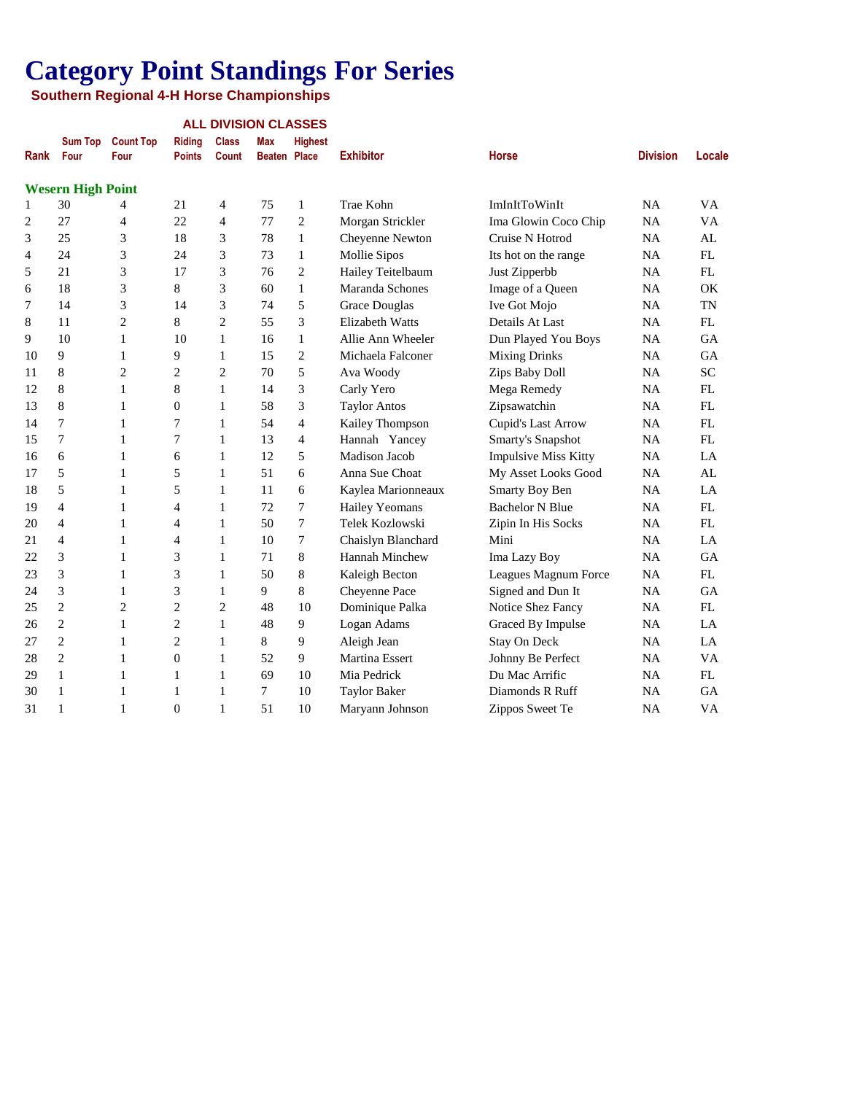|                |                          |                          |                                | <b>ALL DIVISION CLASSES</b>  |                                   |                |                        |                             |                 |           |  |
|----------------|--------------------------|--------------------------|--------------------------------|------------------------------|-----------------------------------|----------------|------------------------|-----------------------------|-----------------|-----------|--|
| Rank           | <b>Sum Top</b><br>Four   | <b>Count Top</b><br>Four | <b>Riding</b><br><b>Points</b> | <b>Class</b><br><b>Count</b> | <b>Max</b><br><b>Beaten Place</b> | <b>Highest</b> | <b>Exhibitor</b>       | <b>Horse</b>                | <b>Division</b> | Locale    |  |
|                | <b>Wesern High Point</b> |                          |                                |                              |                                   |                |                        |                             |                 |           |  |
| 1              | 30                       | 4                        | 21                             | 4                            | 75                                | $\mathbf{1}$   | Trae Kohn              | ImInItToWinIt               | NA              | <b>VA</b> |  |
| $\overline{c}$ | 27                       | $\overline{4}$           | 22                             | $\overline{4}$               | 77                                | $\overline{2}$ | Morgan Strickler       | Ima Glowin Coco Chip        | <b>NA</b>       | VA        |  |
| 3              | 25                       | 3                        | 18                             | 3                            | 78                                | 1              | Cheyenne Newton        | Cruise N Hotrod             | <b>NA</b>       | AL        |  |
| 4              | 24                       | 3                        | 24                             | 3                            | 73                                | 1              | Mollie Sipos           | Its hot on the range        | <b>NA</b>       | FL        |  |
| 5              | 21                       | 3                        | 17                             | 3                            | 76                                | $\overline{c}$ | Hailey Teitelbaum      | Just Zipperbb               | <b>NA</b>       | FL        |  |
| 6              | 18                       | 3                        | 8                              | 3                            | 60                                | 1              | Maranda Schones        | Image of a Queen            | <b>NA</b>       | OK        |  |
| 7              | 14                       | 3                        | 14                             | 3                            | 74                                | 5              | <b>Grace Douglas</b>   | Ive Got Mojo                | <b>NA</b>       | <b>TN</b> |  |
| 8              | 11                       | $\overline{c}$           | 8                              | $\overline{2}$               | 55                                | 3              | <b>Elizabeth Watts</b> | Details At Last             | <b>NA</b>       | FL        |  |
| 9              | 10                       | 1                        | 10                             | $\mathbf{1}$                 | 16                                | 1              | Allie Ann Wheeler      | Dun Played You Boys         | <b>NA</b>       | <b>GA</b> |  |
| 10             | 9                        | $\mathbf{1}$             | 9                              | $\mathbf{1}$                 | 15                                | $\overline{c}$ | Michaela Falconer      | <b>Mixing Drinks</b>        | NA              | GA        |  |
| 11             | 8                        | $\overline{c}$           | $\overline{c}$                 | $\overline{2}$               | 70                                | 5              | Ava Woody              | Zips Baby Doll              | NA              | <b>SC</b> |  |
| 12             | $\,$ 8 $\,$              | 1                        | 8                              | 1                            | 14                                | 3              | Carly Yero             | Mega Remedy                 | <b>NA</b>       | FL        |  |
| 13             | $\,$ 8 $\,$              | 1                        | $\boldsymbol{0}$               | 1                            | 58                                | 3              | <b>Taylor Antos</b>    | Zipsawatchin                | NA              | FL        |  |
| 14             | $\tau$                   | 1                        | $\overline{7}$                 | $\mathbf{1}$                 | 54                                | $\overline{4}$ | Kailey Thompson        | Cupid's Last Arrow          | NA              | FL        |  |
| 15             | $\tau$                   | 1                        | $\overline{7}$                 | 1                            | 13                                | $\overline{4}$ | Hannah Yancey          | Smarty's Snapshot           | <b>NA</b>       | <b>FL</b> |  |
| 16             | 6                        | 1                        | 6                              | $\mathbf{1}$                 | 12                                | 5              | Madison Jacob          | <b>Impulsive Miss Kitty</b> | NA              | LA        |  |
| 17             | 5                        | $\mathbf{1}$             | 5                              | $\mathbf{1}$                 | 51                                | 6              | Anna Sue Choat         | My Asset Looks Good         | NA              | AL        |  |
| 18             | 5                        | 1                        | 5                              | $\mathbf{1}$                 | 11                                | 6              | Kaylea Marionneaux     | Smarty Boy Ben              | <b>NA</b>       | LA        |  |
| 19             | 4                        | 1                        | 4                              | 1                            | 72                                | 7              | <b>Hailey Yeomans</b>  | <b>Bachelor N Blue</b>      | NA              | FL        |  |
| 20             | 4                        | 1                        | 4                              | 1                            | 50                                | $\tau$         | Telek Kozlowski        | Zipin In His Socks          | NA              | FL        |  |
| 21             | 4                        | 1                        | 4                              | 1                            | 10                                | $\tau$         | Chaislyn Blanchard     | Mini                        | <b>NA</b>       | LA        |  |
| 22             | 3                        | 1                        | 3                              | $\mathbf{1}$                 | 71                                | 8              | <b>Hannah Minchew</b>  | Ima Lazy Boy                | NA              | <b>GA</b> |  |
| 23             | 3                        | $\mathbf{1}$             | 3                              | $\mathbf{1}$                 | 50                                | 8              | Kaleigh Becton         | Leagues Magnum Force        | NA              | FL        |  |
| 24             | 3                        | 1                        | 3                              | $\mathbf{1}$                 | 9                                 | 8              | Cheyenne Pace          | Signed and Dun It           | <b>NA</b>       | <b>GA</b> |  |
| 25             | $\mathbf{2}$             | $\overline{c}$           | $\overline{c}$                 | $\overline{c}$               | 48                                | 10             | Dominique Palka        | Notice Shez Fancy           | NA              | FL        |  |
| 26             | $\mathbf{2}$             | $\mathbf{1}$             | $\overline{c}$                 | $\mathbf{1}$                 | 48                                | 9              | Logan Adams            | Graced By Impulse           | <b>NA</b>       | LA        |  |
| 27             | $\overline{2}$           | 1                        | $\overline{2}$                 | 1                            | 8                                 | 9              | Aleigh Jean            | Stay On Deck                | <b>NA</b>       | LA        |  |
| 28             | $\mathbf{2}$             | 1                        | $\overline{0}$                 | $\mathbf{1}$                 | 52                                | 9              | <b>Martina Essert</b>  | Johnny Be Perfect           | <b>NA</b>       | <b>VA</b> |  |
| 29             | $\mathbf{1}$             | 1                        | 1                              | 1                            | 69                                | 10             | Mia Pedrick            | Du Mac Arrific              | <b>NA</b>       | FL        |  |
| 30             | $\mathbf{1}$             | 1                        | 1                              | 1                            | $\overline{7}$                    | 10             | <b>Taylor Baker</b>    | Diamonds R Ruff             | <b>NA</b>       | <b>GA</b> |  |
| 31             | $\mathbf{1}$             | 1                        | $\overline{0}$                 | $\mathbf{1}$                 | 51                                | 10             | Maryann Johnson        | Zippos Sweet Te             | <b>NA</b>       | VA        |  |